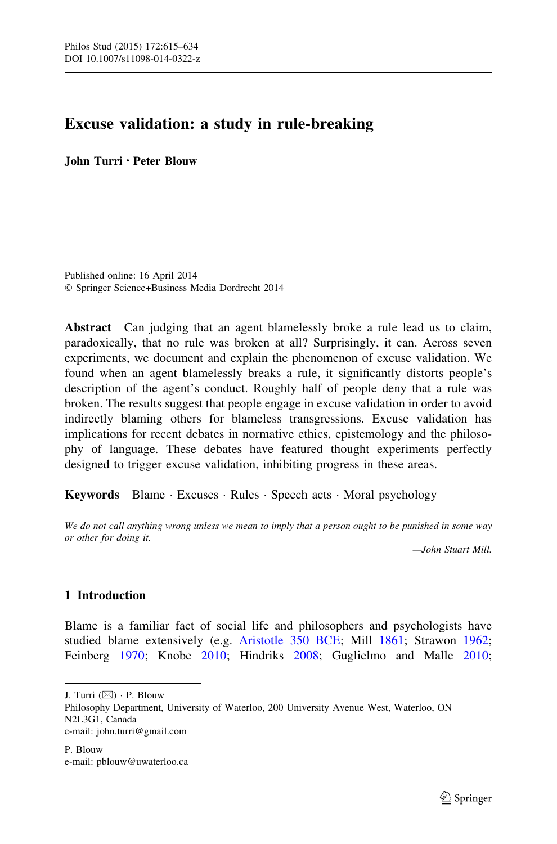# Excuse validation: a study in rule-breaking

John Turri • Peter Blouw

Published online: 16 April 2014 - Springer Science+Business Media Dordrecht 2014

Abstract Can judging that an agent blamelessly broke a rule lead us to claim, paradoxically, that no rule was broken at all? Surprisingly, it can. Across seven experiments, we document and explain the phenomenon of excuse validation. We found when an agent blamelessly breaks a rule, it significantly distorts people's description of the agent's conduct. Roughly half of people deny that a rule was broken. The results suggest that people engage in excuse validation in order to avoid indirectly blaming others for blameless transgressions. Excuse validation has implications for recent debates in normative ethics, epistemology and the philosophy of language. These debates have featured thought experiments perfectly designed to trigger excuse validation, inhibiting progress in these areas.

Keywords Blame · Excuses · Rules · Speech acts · Moral psychology

We do not call anything wrong unless we mean to imply that a person ought to be punished in some way or other for doing it.

—John Stuart Mill.

# 1 Introduction

Blame is a familiar fact of social life and philosophers and psychologists have studied blame extensively (e.g. [Aristotle 350 BCE;](#page-18-0) Mill [1861](#page-19-0); Strawon [1962;](#page-19-0) Feinberg [1970](#page-18-0); Knobe [2010;](#page-19-0) Hindriks [2008;](#page-19-0) Guglielmo and Malle [2010;](#page-18-0)

J. Turri  $(\boxtimes) \cdot P$ . Blouw

Philosophy Department, University of Waterloo, 200 University Avenue West, Waterloo, ON N2L3G1, Canada e-mail: john.turri@gmail.com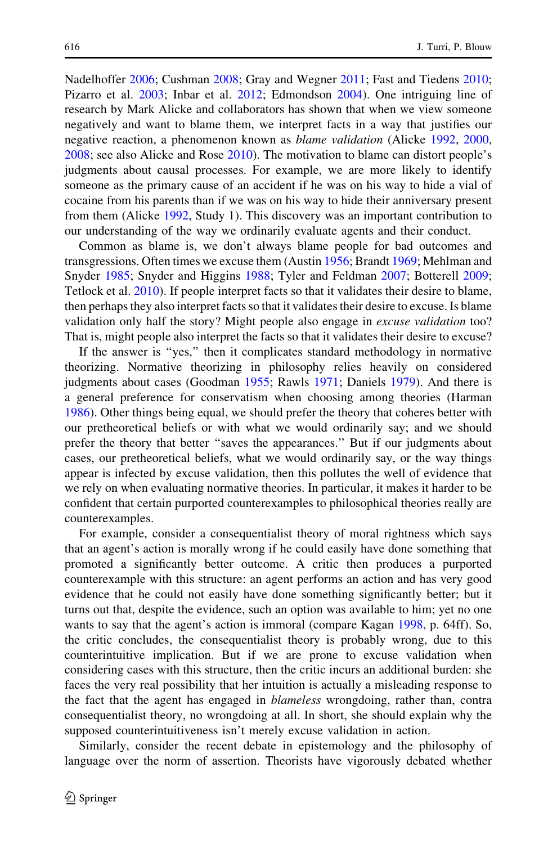Nadelhoffer [2006](#page-19-0); Cushman [2008](#page-18-0); Gray and Wegner [2011;](#page-18-0) Fast and Tiedens [2010;](#page-18-0) Pizarro et al. [2003;](#page-19-0) Inbar et al. [2012](#page-19-0); Edmondson [2004](#page-18-0)). One intriguing line of research by Mark Alicke and collaborators has shown that when we view someone negatively and want to blame them, we interpret facts in a way that justifies our negative reaction, a phenomenon known as blame validation (Alicke [1992,](#page-18-0) [2000,](#page-18-0) [2008;](#page-18-0) see also Alicke and Rose [2010](#page-18-0)). The motivation to blame can distort people's judgments about causal processes. For example, we are more likely to identify someone as the primary cause of an accident if he was on his way to hide a vial of cocaine from his parents than if we was on his way to hide their anniversary present from them (Alicke [1992,](#page-18-0) Study 1). This discovery was an important contribution to our understanding of the way we ordinarily evaluate agents and their conduct.

Common as blame is, we don't always blame people for bad outcomes and transgressions. Often times we excuse them (Austin [1956;](#page-18-0) Brandt [1969](#page-18-0); Mehlman and Snyder [1985;](#page-19-0) Snyder and Higgins [1988](#page-19-0); Tyler and Feldman [2007;](#page-19-0) Botterell [2009;](#page-18-0) Tetlock et al. [2010\)](#page-19-0). If people interpret facts so that it validates their desire to blame, then perhaps they also interpret facts so that it validates their desire to excuse. Is blame validation only half the story? Might people also engage in excuse validation too? That is, might people also interpret the facts so that it validates their desire to excuse?

If the answer is ''yes,'' then it complicates standard methodology in normative theorizing. Normative theorizing in philosophy relies heavily on considered judgments about cases (Goodman [1955;](#page-18-0) Rawls [1971;](#page-19-0) Daniels [1979](#page-18-0)). And there is a general preference for conservatism when choosing among theories (Harman [1986\)](#page-19-0). Other things being equal, we should prefer the theory that coheres better with our pretheoretical beliefs or with what we would ordinarily say; and we should prefer the theory that better ''saves the appearances.'' But if our judgments about cases, our pretheoretical beliefs, what we would ordinarily say, or the way things appear is infected by excuse validation, then this pollutes the well of evidence that we rely on when evaluating normative theories. In particular, it makes it harder to be confident that certain purported counterexamples to philosophical theories really are counterexamples.

For example, consider a consequentialist theory of moral rightness which says that an agent's action is morally wrong if he could easily have done something that promoted a significantly better outcome. A critic then produces a purported counterexample with this structure: an agent performs an action and has very good evidence that he could not easily have done something significantly better; but it turns out that, despite the evidence, such an option was available to him; yet no one wants to say that the agent's action is immoral (compare Kagan [1998,](#page-19-0) p. 64ff). So, the critic concludes, the consequentialist theory is probably wrong, due to this counterintuitive implication. But if we are prone to excuse validation when considering cases with this structure, then the critic incurs an additional burden: she faces the very real possibility that her intuition is actually a misleading response to the fact that the agent has engaged in *blameless* wrongdoing, rather than, contra consequentialist theory, no wrongdoing at all. In short, she should explain why the supposed counterintuitiveness isn't merely excuse validation in action.

Similarly, consider the recent debate in epistemology and the philosophy of language over the norm of assertion. Theorists have vigorously debated whether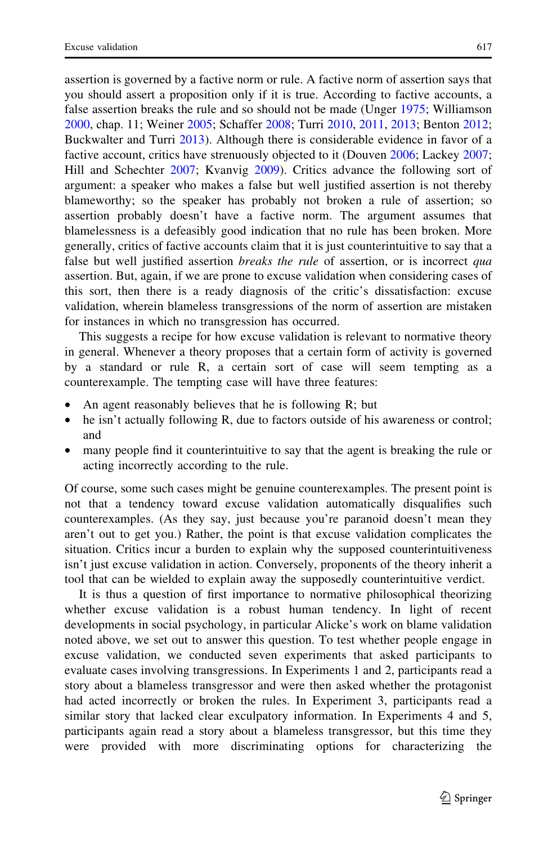assertion is governed by a factive norm or rule. A factive norm of assertion says that you should assert a proposition only if it is true. According to factive accounts, a false assertion breaks the rule and so should not be made (Unger [1975;](#page-19-0) Williamson [2000,](#page-19-0) chap. 11; Weiner [2005;](#page-19-0) Schaffer [2008;](#page-19-0) Turri [2010](#page-19-0), [2011](#page-19-0), [2013;](#page-19-0) Benton [2012;](#page-18-0) Buckwalter and Turri [2013\)](#page-18-0). Although there is considerable evidence in favor of a factive account, critics have strenuously objected to it (Douven [2006;](#page-18-0) Lackey [2007;](#page-19-0) Hill and Schechter [2007](#page-19-0); Kvanvig [2009\)](#page-19-0). Critics advance the following sort of argument: a speaker who makes a false but well justified assertion is not thereby blameworthy; so the speaker has probably not broken a rule of assertion; so assertion probably doesn't have a factive norm. The argument assumes that blamelessness is a defeasibly good indication that no rule has been broken. More generally, critics of factive accounts claim that it is just counterintuitive to say that a false but well justified assertion *breaks the rule* of assertion, or is incorrect qua assertion. But, again, if we are prone to excuse validation when considering cases of this sort, then there is a ready diagnosis of the critic's dissatisfaction: excuse validation, wherein blameless transgressions of the norm of assertion are mistaken for instances in which no transgression has occurred.

This suggests a recipe for how excuse validation is relevant to normative theory in general. Whenever a theory proposes that a certain form of activity is governed by a standard or rule R, a certain sort of case will seem tempting as a counterexample. The tempting case will have three features:

- An agent reasonably believes that he is following R; but
- he isn't actually following R, due to factors outside of his awareness or control; and
- many people find it counterintuitive to say that the agent is breaking the rule or acting incorrectly according to the rule.

Of course, some such cases might be genuine counterexamples. The present point is not that a tendency toward excuse validation automatically disqualifies such counterexamples. (As they say, just because you're paranoid doesn't mean they aren't out to get you.) Rather, the point is that excuse validation complicates the situation. Critics incur a burden to explain why the supposed counterintuitiveness isn't just excuse validation in action. Conversely, proponents of the theory inherit a tool that can be wielded to explain away the supposedly counterintuitive verdict.

It is thus a question of first importance to normative philosophical theorizing whether excuse validation is a robust human tendency. In light of recent developments in social psychology, in particular Alicke's work on blame validation noted above, we set out to answer this question. To test whether people engage in excuse validation, we conducted seven experiments that asked participants to evaluate cases involving transgressions. In Experiments 1 and 2, participants read a story about a blameless transgressor and were then asked whether the protagonist had acted incorrectly or broken the rules. In Experiment 3, participants read a similar story that lacked clear exculpatory information. In Experiments 4 and 5, participants again read a story about a blameless transgressor, but this time they were provided with more discriminating options for characterizing the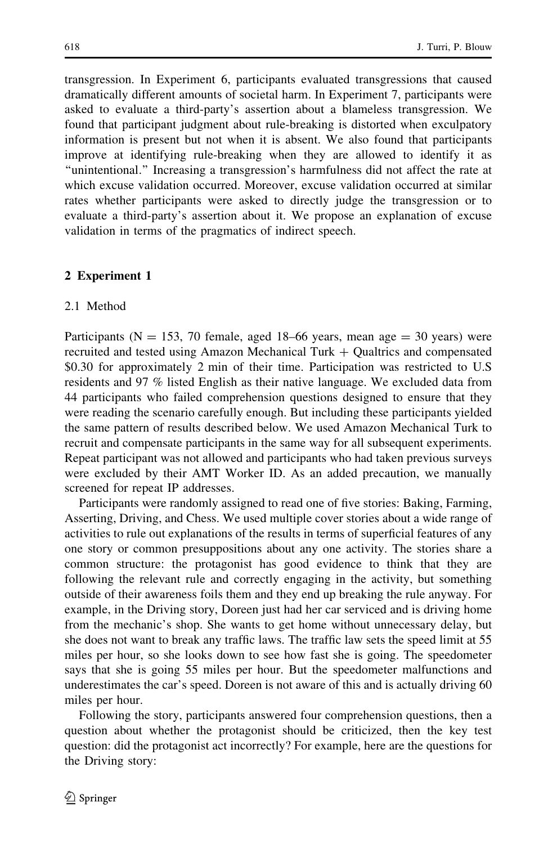transgression. In Experiment 6, participants evaluated transgressions that caused dramatically different amounts of societal harm. In Experiment 7, participants were asked to evaluate a third-party's assertion about a blameless transgression. We found that participant judgment about rule-breaking is distorted when exculpatory information is present but not when it is absent. We also found that participants improve at identifying rule-breaking when they are allowed to identify it as ''unintentional.'' Increasing a transgression's harmfulness did not affect the rate at which excuse validation occurred. Moreover, excuse validation occurred at similar rates whether participants were asked to directly judge the transgression or to evaluate a third-party's assertion about it. We propose an explanation of excuse validation in terms of the pragmatics of indirect speech.

#### 2 Experiment 1

#### 2.1 Method

Participants ( $N = 153$ , 70 female, aged 18–66 years, mean age  $= 30$  years) were recruited and tested using Amazon Mechanical Turk + Qualtrics and compensated \$0.30 for approximately 2 min of their time. Participation was restricted to U.S residents and 97 % listed English as their native language. We excluded data from 44 participants who failed comprehension questions designed to ensure that they were reading the scenario carefully enough. But including these participants yielded the same pattern of results described below. We used Amazon Mechanical Turk to recruit and compensate participants in the same way for all subsequent experiments. Repeat participant was not allowed and participants who had taken previous surveys were excluded by their AMT Worker ID. As an added precaution, we manually screened for repeat IP addresses.

Participants were randomly assigned to read one of five stories: Baking, Farming, Asserting, Driving, and Chess. We used multiple cover stories about a wide range of activities to rule out explanations of the results in terms of superficial features of any one story or common presuppositions about any one activity. The stories share a common structure: the protagonist has good evidence to think that they are following the relevant rule and correctly engaging in the activity, but something outside of their awareness foils them and they end up breaking the rule anyway. For example, in the Driving story, Doreen just had her car serviced and is driving home from the mechanic's shop. She wants to get home without unnecessary delay, but she does not want to break any traffic laws. The traffic law sets the speed limit at 55 miles per hour, so she looks down to see how fast she is going. The speedometer says that she is going 55 miles per hour. But the speedometer malfunctions and underestimates the car's speed. Doreen is not aware of this and is actually driving 60 miles per hour.

Following the story, participants answered four comprehension questions, then a question about whether the protagonist should be criticized, then the key test question: did the protagonist act incorrectly? For example, here are the questions for the Driving story: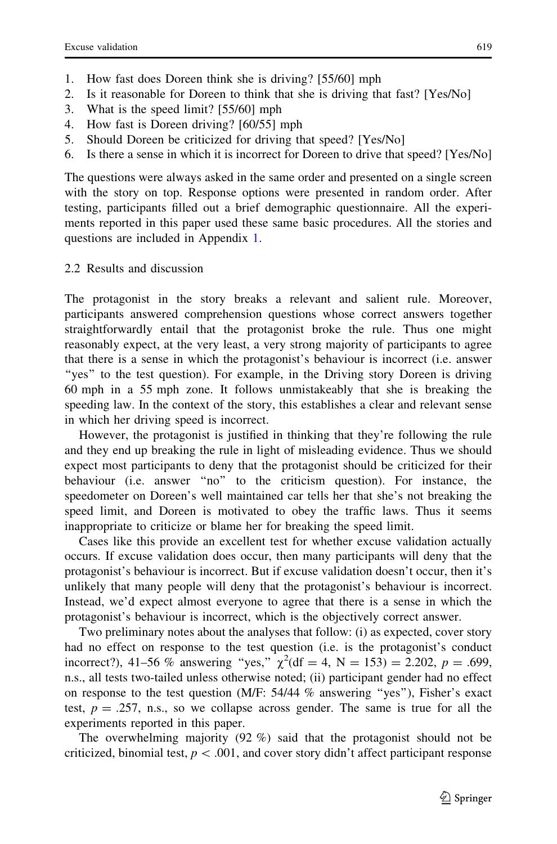- 1. How fast does Doreen think she is driving? [55/60] mph
- 2. Is it reasonable for Doreen to think that she is driving that fast? [Yes/No]
- 3. What is the speed limit? [55/60] mph
- 4. How fast is Doreen driving? [60/55] mph
- 5. Should Doreen be criticized for driving that speed? [Yes/No]
- 6. Is there a sense in which it is incorrect for Doreen to drive that speed? [Yes/No]

The questions were always asked in the same order and presented on a single screen with the story on top. Response options were presented in random order. After testing, participants filled out a brief demographic questionnaire. All the experiments reported in this paper used these same basic procedures. All the stories and questions are included in Appendix [1](#page-15-0).

2.2 Results and discussion

The protagonist in the story breaks a relevant and salient rule. Moreover, participants answered comprehension questions whose correct answers together straightforwardly entail that the protagonist broke the rule. Thus one might reasonably expect, at the very least, a very strong majority of participants to agree that there is a sense in which the protagonist's behaviour is incorrect (i.e. answer ''yes'' to the test question). For example, in the Driving story Doreen is driving 60 mph in a 55 mph zone. It follows unmistakeably that she is breaking the speeding law. In the context of the story, this establishes a clear and relevant sense in which her driving speed is incorrect.

However, the protagonist is justified in thinking that they're following the rule and they end up breaking the rule in light of misleading evidence. Thus we should expect most participants to deny that the protagonist should be criticized for their behaviour (i.e. answer ''no'' to the criticism question). For instance, the speedometer on Doreen's well maintained car tells her that she's not breaking the speed limit, and Doreen is motivated to obey the traffic laws. Thus it seems inappropriate to criticize or blame her for breaking the speed limit.

Cases like this provide an excellent test for whether excuse validation actually occurs. If excuse validation does occur, then many participants will deny that the protagonist's behaviour is incorrect. But if excuse validation doesn't occur, then it's unlikely that many people will deny that the protagonist's behaviour is incorrect. Instead, we'd expect almost everyone to agree that there is a sense in which the protagonist's behaviour is incorrect, which is the objectively correct answer.

Two preliminary notes about the analyses that follow: (i) as expected, cover story had no effect on response to the test question (i.e. is the protagonist's conduct incorrect?), 41–56 % answering "yes,"  $\chi^2$ (df = 4, N = 153) = 2.202, p = .699, n.s., all tests two-tailed unless otherwise noted; (ii) participant gender had no effect on response to the test question (M/F:  $54/44$  % answering "yes"), Fisher's exact test,  $p = .257$ , n.s., so we collapse across gender. The same is true for all the experiments reported in this paper.

The overwhelming majority (92 %) said that the protagonist should not be criticized, binomial test,  $p < .001$ , and cover story didn't affect participant response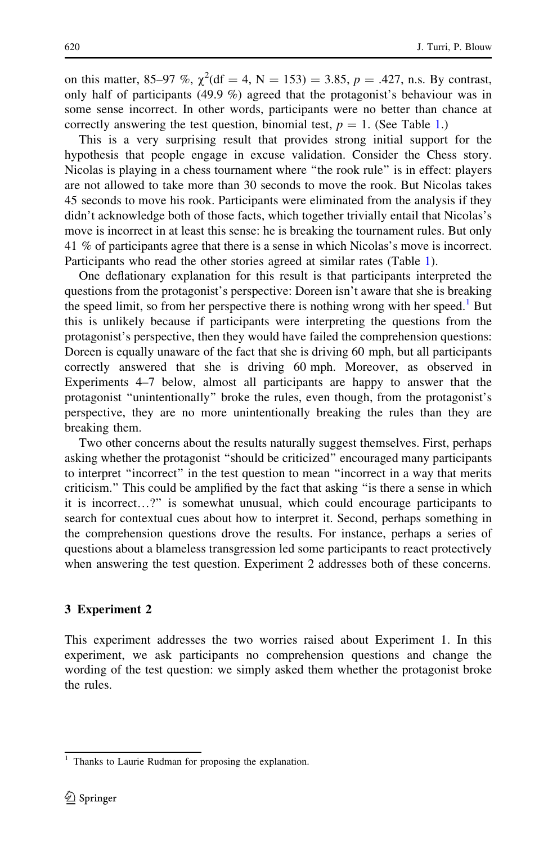on this matter, 85–97 %,  $\chi^2$ (df = 4, N = 153) = 3.85, p = .427, n.s. By contrast, only half of participants (49.9 %) agreed that the protagonist's behaviour was in some sense incorrect. In other words, participants were no better than chance at correctly answering the test question, binomial test,  $p = 1$  $p = 1$ . (See Table 1.)

This is a very surprising result that provides strong initial support for the hypothesis that people engage in excuse validation. Consider the Chess story. Nicolas is playing in a chess tournament where ''the rook rule'' is in effect: players are not allowed to take more than 30 seconds to move the rook. But Nicolas takes 45 seconds to move his rook. Participants were eliminated from the analysis if they didn't acknowledge both of those facts, which together trivially entail that Nicolas's move is incorrect in at least this sense: he is breaking the tournament rules. But only 41 % of participants agree that there is a sense in which Nicolas's move is incorrect. Participants who read the other stories agreed at similar rates (Table [1](#page-6-0)).

One deflationary explanation for this result is that participants interpreted the questions from the protagonist's perspective: Doreen isn't aware that she is breaking the speed limit, so from her perspective there is nothing wrong with her speed.<sup>1</sup> But this is unlikely because if participants were interpreting the questions from the protagonist's perspective, then they would have failed the comprehension questions: Doreen is equally unaware of the fact that she is driving 60 mph, but all participants correctly answered that she is driving 60 mph. Moreover, as observed in Experiments 4–7 below, almost all participants are happy to answer that the protagonist ''unintentionally'' broke the rules, even though, from the protagonist's perspective, they are no more unintentionally breaking the rules than they are breaking them.

Two other concerns about the results naturally suggest themselves. First, perhaps asking whether the protagonist ''should be criticized'' encouraged many participants to interpret ''incorrect'' in the test question to mean ''incorrect in a way that merits criticism.'' This could be amplified by the fact that asking ''is there a sense in which it is incorrect…?'' is somewhat unusual, which could encourage participants to search for contextual cues about how to interpret it. Second, perhaps something in the comprehension questions drove the results. For instance, perhaps a series of questions about a blameless transgression led some participants to react protectively when answering the test question. Experiment 2 addresses both of these concerns.

# 3 Experiment 2

This experiment addresses the two worries raised about Experiment 1. In this experiment, we ask participants no comprehension questions and change the wording of the test question: we simply asked them whether the protagonist broke the rules.

Thanks to Laurie Rudman for proposing the explanation.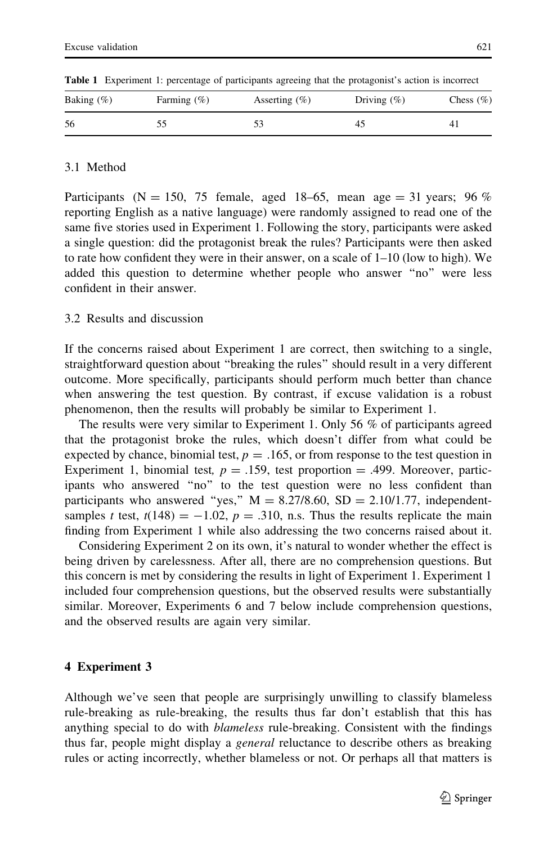| Baking $(\% )$ | Farming $(\%)$ | Asserting $(\% )$ | Driving $(\%)$ | Chess $(\% )$ |
|----------------|----------------|-------------------|----------------|---------------|
| 56             |                |                   | 45             | 41            |

<span id="page-6-0"></span>Table 1 Experiment 1: percentage of participants agreeing that the protagonist's action is incorrect

# 3.1 Method

Participants (N = 150, 75 female, aged 18–65, mean age = 31 years; 96 % reporting English as a native language) were randomly assigned to read one of the same five stories used in Experiment 1. Following the story, participants were asked a single question: did the protagonist break the rules? Participants were then asked to rate how confident they were in their answer, on a scale of 1–10 (low to high). We added this question to determine whether people who answer ''no'' were less confident in their answer.

# 3.2 Results and discussion

If the concerns raised about Experiment 1 are correct, then switching to a single, straightforward question about ''breaking the rules'' should result in a very different outcome. More specifically, participants should perform much better than chance when answering the test question. By contrast, if excuse validation is a robust phenomenon, then the results will probably be similar to Experiment 1.

The results were very similar to Experiment 1. Only 56 % of participants agreed that the protagonist broke the rules, which doesn't differ from what could be expected by chance, binomial test,  $p = .165$ , or from response to the test question in Experiment 1, binomial test,  $p = .159$ , test proportion = .499. Moreover, participants who answered ''no'' to the test question were no less confident than participants who answered "yes,"  $M = 8.27/8.60$ ,  $SD = 2.10/1.77$ , independentsamples t test,  $t(148) = -1.02$ ,  $p = .310$ , n.s. Thus the results replicate the main finding from Experiment 1 while also addressing the two concerns raised about it.

Considering Experiment 2 on its own, it's natural to wonder whether the effect is being driven by carelessness. After all, there are no comprehension questions. But this concern is met by considering the results in light of Experiment 1. Experiment 1 included four comprehension questions, but the observed results were substantially similar. Moreover, Experiments 6 and 7 below include comprehension questions, and the observed results are again very similar.

# 4 Experiment 3

Although we've seen that people are surprisingly unwilling to classify blameless rule-breaking as rule-breaking, the results thus far don't establish that this has anything special to do with *blameless* rule-breaking. Consistent with the findings thus far, people might display a general reluctance to describe others as breaking rules or acting incorrectly, whether blameless or not. Or perhaps all that matters is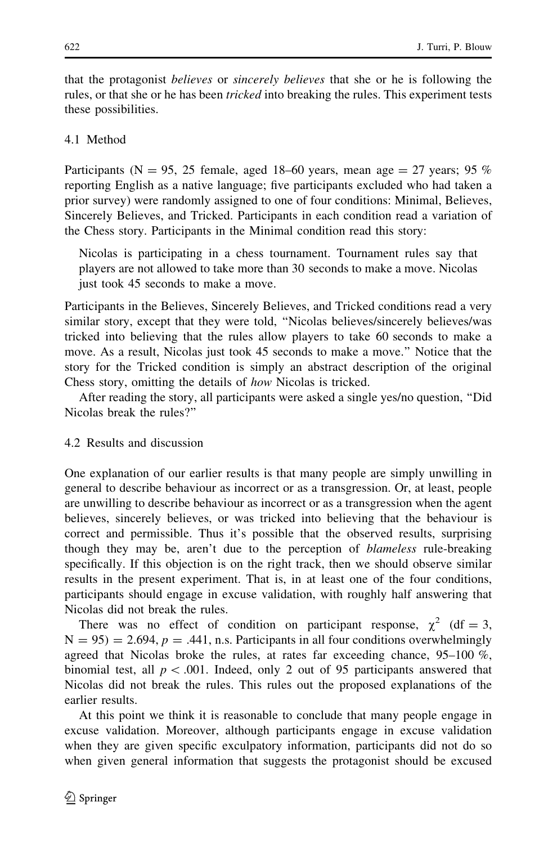that the protagonist believes or sincerely believes that she or he is following the rules, or that she or he has been *tricked* into breaking the rules. This experiment tests these possibilities.

### 4.1 Method

Participants (N = 95, 25 female, aged 18–60 years, mean age = 27 years; 95 % reporting English as a native language; five participants excluded who had taken a prior survey) were randomly assigned to one of four conditions: Minimal, Believes, Sincerely Believes, and Tricked. Participants in each condition read a variation of the Chess story. Participants in the Minimal condition read this story:

Nicolas is participating in a chess tournament. Tournament rules say that players are not allowed to take more than 30 seconds to make a move. Nicolas just took 45 seconds to make a move.

Participants in the Believes, Sincerely Believes, and Tricked conditions read a very similar story, except that they were told, ''Nicolas believes/sincerely believes/was tricked into believing that the rules allow players to take 60 seconds to make a move. As a result, Nicolas just took 45 seconds to make a move.'' Notice that the story for the Tricked condition is simply an abstract description of the original Chess story, omitting the details of how Nicolas is tricked.

After reading the story, all participants were asked a single yes/no question, ''Did Nicolas break the rules?''

# 4.2 Results and discussion

One explanation of our earlier results is that many people are simply unwilling in general to describe behaviour as incorrect or as a transgression. Or, at least, people are unwilling to describe behaviour as incorrect or as a transgression when the agent believes, sincerely believes, or was tricked into believing that the behaviour is correct and permissible. Thus it's possible that the observed results, surprising though they may be, aren't due to the perception of *blameless* rule-breaking specifically. If this objection is on the right track, then we should observe similar results in the present experiment. That is, in at least one of the four conditions, participants should engage in excuse validation, with roughly half answering that Nicolas did not break the rules.

There was no effect of condition on participant response,  $\chi^2$  (df = 3,  $N = 95$ ) = 2.694,  $p = .441$ , n.s. Participants in all four conditions overwhelmingly agreed that Nicolas broke the rules, at rates far exceeding chance,  $95-100\%$ , binomial test, all  $p < .001$ . Indeed, only 2 out of 95 participants answered that Nicolas did not break the rules. This rules out the proposed explanations of the earlier results.

At this point we think it is reasonable to conclude that many people engage in excuse validation. Moreover, although participants engage in excuse validation when they are given specific exculpatory information, participants did not do so when given general information that suggests the protagonist should be excused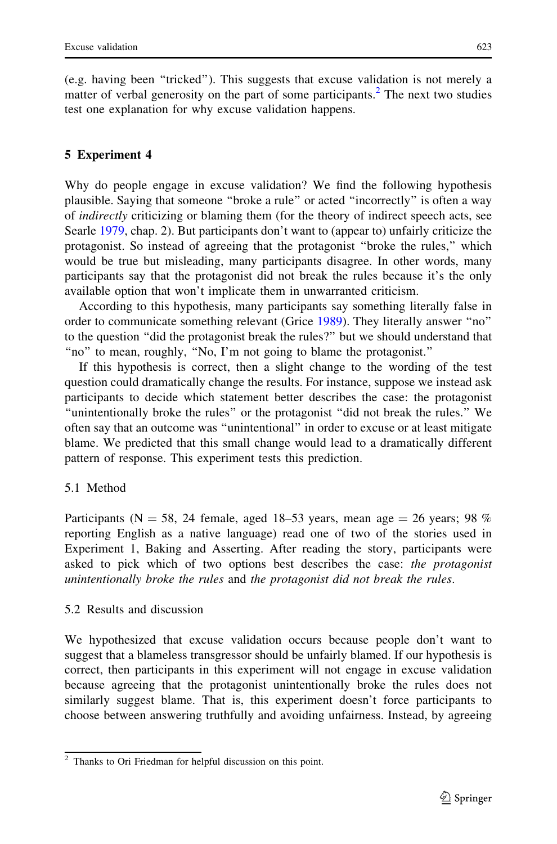(e.g. having been ''tricked''). This suggests that excuse validation is not merely a matter of verbal generosity on the part of some participants.<sup>2</sup> The next two studies test one explanation for why excuse validation happens.

# 5 Experiment 4

Why do people engage in excuse validation? We find the following hypothesis plausible. Saying that someone ''broke a rule'' or acted ''incorrectly'' is often a way of indirectly criticizing or blaming them (for the theory of indirect speech acts, see Searle [1979](#page-19-0), chap. 2). But participants don't want to (appear to) unfairly criticize the protagonist. So instead of agreeing that the protagonist ''broke the rules,'' which would be true but misleading, many participants disagree. In other words, many participants say that the protagonist did not break the rules because it's the only available option that won't implicate them in unwarranted criticism.

According to this hypothesis, many participants say something literally false in order to communicate something relevant (Grice [1989](#page-18-0)). They literally answer ''no'' to the question ''did the protagonist break the rules?'' but we should understand that "no" to mean, roughly, "No, I'm not going to blame the protagonist."

If this hypothesis is correct, then a slight change to the wording of the test question could dramatically change the results. For instance, suppose we instead ask participants to decide which statement better describes the case: the protagonist ''unintentionally broke the rules'' or the protagonist ''did not break the rules.'' We often say that an outcome was ''unintentional'' in order to excuse or at least mitigate blame. We predicted that this small change would lead to a dramatically different pattern of response. This experiment tests this prediction.

#### 5.1 Method

Participants (N = 58, 24 female, aged 18–53 years, mean age = 26 years; 98 % reporting English as a native language) read one of two of the stories used in Experiment 1, Baking and Asserting. After reading the story, participants were asked to pick which of two options best describes the case: the protagonist unintentionally broke the rules and the protagonist did not break the rules.

#### 5.2 Results and discussion

We hypothesized that excuse validation occurs because people don't want to suggest that a blameless transgressor should be unfairly blamed. If our hypothesis is correct, then participants in this experiment will not engage in excuse validation because agreeing that the protagonist unintentionally broke the rules does not similarly suggest blame. That is, this experiment doesn't force participants to choose between answering truthfully and avoiding unfairness. Instead, by agreeing

<sup>&</sup>lt;sup>2</sup> Thanks to Ori Friedman for helpful discussion on this point.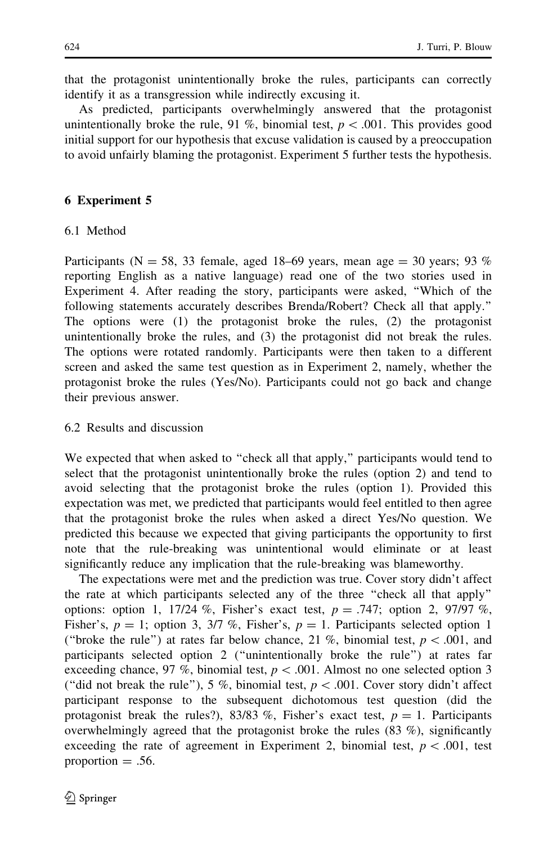that the protagonist unintentionally broke the rules, participants can correctly identify it as a transgression while indirectly excusing it.

As predicted, participants overwhelmingly answered that the protagonist unintentionally broke the rule, 91 %, binomial test,  $p < .001$ . This provides good initial support for our hypothesis that excuse validation is caused by a preoccupation to avoid unfairly blaming the protagonist. Experiment 5 further tests the hypothesis.

# 6 Experiment 5

#### 6.1 Method

Participants (N = 58, 33 female, aged 18–69 years, mean age = 30 years; 93 % reporting English as a native language) read one of the two stories used in Experiment 4. After reading the story, participants were asked, ''Which of the following statements accurately describes Brenda/Robert? Check all that apply.'' The options were (1) the protagonist broke the rules, (2) the protagonist unintentionally broke the rules, and (3) the protagonist did not break the rules. The options were rotated randomly. Participants were then taken to a different screen and asked the same test question as in Experiment 2, namely, whether the protagonist broke the rules (Yes/No). Participants could not go back and change their previous answer.

## 6.2 Results and discussion

We expected that when asked to "check all that apply," participants would tend to select that the protagonist unintentionally broke the rules (option 2) and tend to avoid selecting that the protagonist broke the rules (option 1). Provided this expectation was met, we predicted that participants would feel entitled to then agree that the protagonist broke the rules when asked a direct Yes/No question. We predicted this because we expected that giving participants the opportunity to first note that the rule-breaking was unintentional would eliminate or at least significantly reduce any implication that the rule-breaking was blameworthy.

The expectations were met and the prediction was true. Cover story didn't affect the rate at which participants selected any of the three ''check all that apply'' options: option 1, 17/24 %, Fisher's exact test,  $p = .747$ ; option 2, 97/97 %, Fisher's,  $p = 1$ ; option 3, 3/7 %, Fisher's,  $p = 1$ . Participants selected option 1 ("broke the rule") at rates far below chance, 21 %, binomial test,  $p < .001$ , and participants selected option 2 (''unintentionally broke the rule'') at rates far exceeding chance, 97 %, binomial test,  $p < .001$ . Almost no one selected option 3 ("did not break the rule"), 5 %, binomial test,  $p < .001$ . Cover story didn't affect participant response to the subsequent dichotomous test question (did the protagonist break the rules?), 83/83 %, Fisher's exact test,  $p = 1$ . Participants overwhelmingly agreed that the protagonist broke the rules  $(83 \%)$ , significantly exceeding the rate of agreement in Experiment 2, binomial test,  $p \lt .001$ , test proportion  $= .56$ .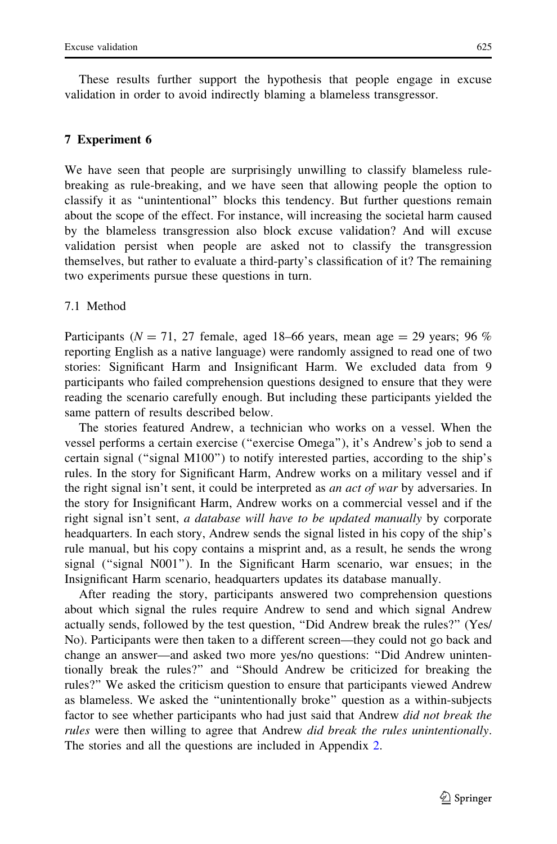These results further support the hypothesis that people engage in excuse validation in order to avoid indirectly blaming a blameless transgressor.

#### 7 Experiment 6

We have seen that people are surprisingly unwilling to classify blameless rulebreaking as rule-breaking, and we have seen that allowing people the option to classify it as ''unintentional'' blocks this tendency. But further questions remain about the scope of the effect. For instance, will increasing the societal harm caused by the blameless transgression also block excuse validation? And will excuse validation persist when people are asked not to classify the transgression themselves, but rather to evaluate a third-party's classification of it? The remaining two experiments pursue these questions in turn.

#### 7.1 Method

Participants ( $N = 71$ , 27 female, aged 18–66 years, mean age = 29 years; 96 % reporting English as a native language) were randomly assigned to read one of two stories: Significant Harm and Insignificant Harm. We excluded data from 9 participants who failed comprehension questions designed to ensure that they were reading the scenario carefully enough. But including these participants yielded the same pattern of results described below.

The stories featured Andrew, a technician who works on a vessel. When the vessel performs a certain exercise (''exercise Omega''), it's Andrew's job to send a certain signal (''signal M100'') to notify interested parties, according to the ship's rules. In the story for Significant Harm, Andrew works on a military vessel and if the right signal isn't sent, it could be interpreted as *an act of war* by adversaries. In the story for Insignificant Harm, Andrew works on a commercial vessel and if the right signal isn't sent, a database will have to be updated manually by corporate headquarters. In each story, Andrew sends the signal listed in his copy of the ship's rule manual, but his copy contains a misprint and, as a result, he sends the wrong signal (''signal N001''). In the Significant Harm scenario, war ensues; in the Insignificant Harm scenario, headquarters updates its database manually.

After reading the story, participants answered two comprehension questions about which signal the rules require Andrew to send and which signal Andrew actually sends, followed by the test question, ''Did Andrew break the rules?'' (Yes/ No). Participants were then taken to a different screen—they could not go back and change an answer—and asked two more yes/no questions: ''Did Andrew unintentionally break the rules?'' and ''Should Andrew be criticized for breaking the rules?'' We asked the criticism question to ensure that participants viewed Andrew as blameless. We asked the ''unintentionally broke'' question as a within-subjects factor to see whether participants who had just said that Andrew *did not break the* rules were then willing to agree that Andrew *did break the rules unintentionally*. The stories and all the questions are included in Appendix [2](#page-17-0).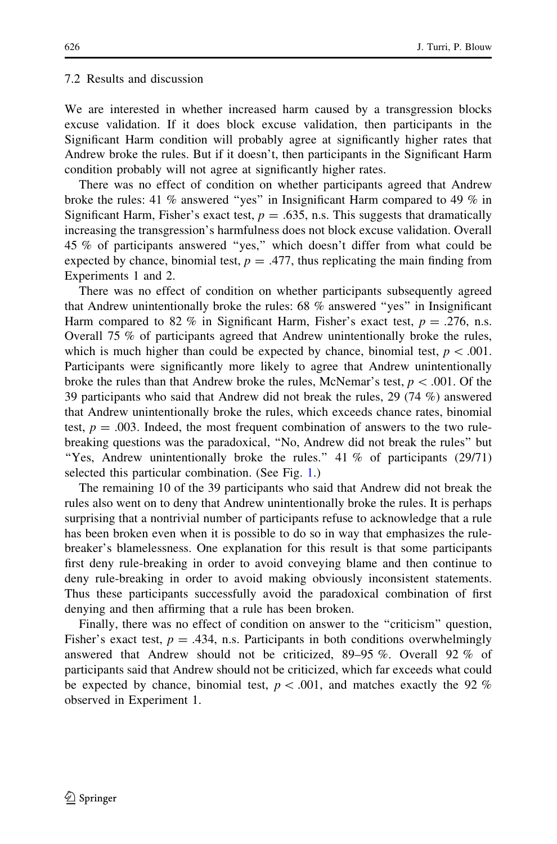#### 7.2 Results and discussion

We are interested in whether increased harm caused by a transgression blocks excuse validation. If it does block excuse validation, then participants in the Significant Harm condition will probably agree at significantly higher rates that Andrew broke the rules. But if it doesn't, then participants in the Significant Harm condition probably will not agree at significantly higher rates.

There was no effect of condition on whether participants agreed that Andrew broke the rules: 41 % answered ''yes'' in Insignificant Harm compared to 49 % in Significant Harm, Fisher's exact test,  $p = .635$ , n.s. This suggests that dramatically increasing the transgression's harmfulness does not block excuse validation. Overall 45 % of participants answered ''yes,'' which doesn't differ from what could be expected by chance, binomial test,  $p = .477$ , thus replicating the main finding from Experiments 1 and 2.

There was no effect of condition on whether participants subsequently agreed that Andrew unintentionally broke the rules: 68 % answered ''yes'' in Insignificant Harm compared to 82 % in Significant Harm, Fisher's exact test,  $p = .276$ , n.s. Overall 75 % of participants agreed that Andrew unintentionally broke the rules, which is much higher than could be expected by chance, binomial test,  $p < .001$ . Participants were significantly more likely to agree that Andrew unintentionally broke the rules than that Andrew broke the rules, McNemar's test,  $p < .001$ . Of the 39 participants who said that Andrew did not break the rules, 29 (74 %) answered that Andrew unintentionally broke the rules, which exceeds chance rates, binomial test,  $p = .003$ . Indeed, the most frequent combination of answers to the two rulebreaking questions was the paradoxical, ''No, Andrew did not break the rules'' but "Yes, Andrew unintentionally broke the rules."  $41\%$  of participants (29/71) selected this particular combination. (See Fig. [1](#page-12-0).)

The remaining 10 of the 39 participants who said that Andrew did not break the rules also went on to deny that Andrew unintentionally broke the rules. It is perhaps surprising that a nontrivial number of participants refuse to acknowledge that a rule has been broken even when it is possible to do so in way that emphasizes the rulebreaker's blamelessness. One explanation for this result is that some participants first deny rule-breaking in order to avoid conveying blame and then continue to deny rule-breaking in order to avoid making obviously inconsistent statements. Thus these participants successfully avoid the paradoxical combination of first denying and then affirming that a rule has been broken.

Finally, there was no effect of condition on answer to the ''criticism'' question, Fisher's exact test,  $p = .434$ , n.s. Participants in both conditions overwhelmingly answered that Andrew should not be criticized, 89–95 %. Overall 92 % of participants said that Andrew should not be criticized, which far exceeds what could be expected by chance, binomial test,  $p < .001$ , and matches exactly the 92 % observed in Experiment 1.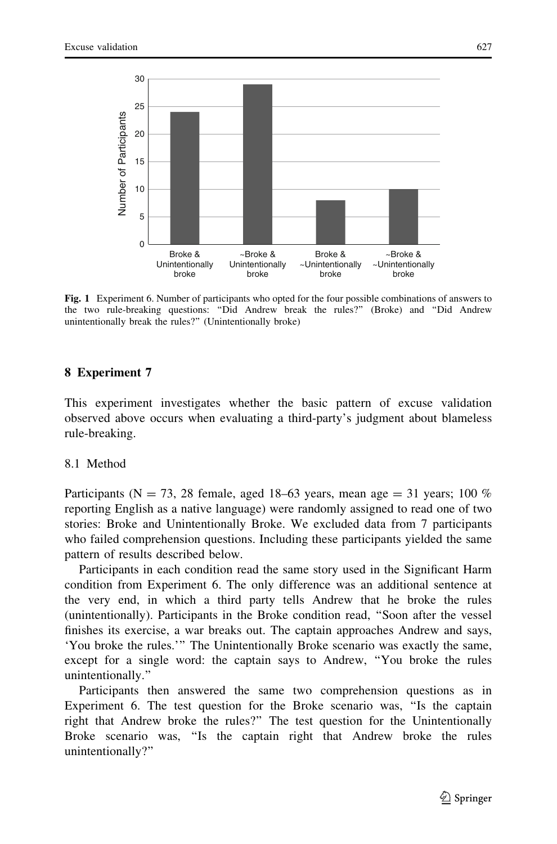<span id="page-12-0"></span>

Fig. 1 Experiment 6. Number of participants who opted for the four possible combinations of answers to the two rule-breaking questions: ''Did Andrew break the rules?'' (Broke) and ''Did Andrew unintentionally break the rules?'' (Unintentionally broke)

# 8 Experiment 7

This experiment investigates whether the basic pattern of excuse validation observed above occurs when evaluating a third-party's judgment about blameless rule-breaking.

# 8.1 Method

Participants (N = 73, 28 female, aged 18–63 years, mean age = 31 years; 100 % reporting English as a native language) were randomly assigned to read one of two stories: Broke and Unintentionally Broke. We excluded data from 7 participants who failed comprehension questions. Including these participants yielded the same pattern of results described below.

Participants in each condition read the same story used in the Significant Harm condition from Experiment 6. The only difference was an additional sentence at the very end, in which a third party tells Andrew that he broke the rules (unintentionally). Participants in the Broke condition read, ''Soon after the vessel finishes its exercise, a war breaks out. The captain approaches Andrew and says, 'You broke the rules.''' The Unintentionally Broke scenario was exactly the same, except for a single word: the captain says to Andrew, ''You broke the rules unintentionally.''

Participants then answered the same two comprehension questions as in Experiment 6. The test question for the Broke scenario was, ''Is the captain right that Andrew broke the rules?'' The test question for the Unintentionally Broke scenario was, ''Is the captain right that Andrew broke the rules unintentionally?''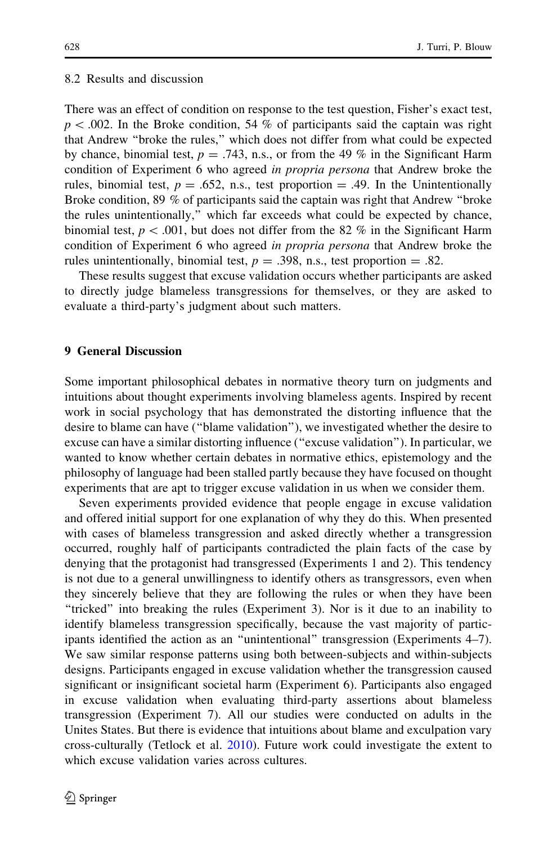#### 8.2 Results and discussion

There was an effect of condition on response to the test question, Fisher's exact test,  $p$  < .002. In the Broke condition, 54 % of participants said the captain was right that Andrew ''broke the rules,'' which does not differ from what could be expected by chance, binomial test,  $p = .743$ , n.s., or from the 49 % in the Significant Harm condition of Experiment 6 who agreed in propria persona that Andrew broke the rules, binomial test,  $p = .652$ , n.s., test proportion  $= .49$ . In the Unintentionally Broke condition, 89 % of participants said the captain was right that Andrew ''broke the rules unintentionally,'' which far exceeds what could be expected by chance, binomial test,  $p \lt 0.001$ , but does not differ from the 82 % in the Significant Harm condition of Experiment 6 who agreed in propria persona that Andrew broke the rules unintentionally, binomial test,  $p = .398$ , n.s., test proportion = .82.

These results suggest that excuse validation occurs whether participants are asked to directly judge blameless transgressions for themselves, or they are asked to evaluate a third-party's judgment about such matters.

### 9 General Discussion

Some important philosophical debates in normative theory turn on judgments and intuitions about thought experiments involving blameless agents. Inspired by recent work in social psychology that has demonstrated the distorting influence that the desire to blame can have (''blame validation''), we investigated whether the desire to excuse can have a similar distorting influence (''excuse validation''). In particular, we wanted to know whether certain debates in normative ethics, epistemology and the philosophy of language had been stalled partly because they have focused on thought experiments that are apt to trigger excuse validation in us when we consider them.

Seven experiments provided evidence that people engage in excuse validation and offered initial support for one explanation of why they do this. When presented with cases of blameless transgression and asked directly whether a transgression occurred, roughly half of participants contradicted the plain facts of the case by denying that the protagonist had transgressed (Experiments 1 and 2). This tendency is not due to a general unwillingness to identify others as transgressors, even when they sincerely believe that they are following the rules or when they have been ''tricked'' into breaking the rules (Experiment 3). Nor is it due to an inability to identify blameless transgression specifically, because the vast majority of participants identified the action as an ''unintentional'' transgression (Experiments 4–7). We saw similar response patterns using both between-subjects and within-subjects designs. Participants engaged in excuse validation whether the transgression caused significant or insignificant societal harm (Experiment 6). Participants also engaged in excuse validation when evaluating third-party assertions about blameless transgression (Experiment 7). All our studies were conducted on adults in the Unites States. But there is evidence that intuitions about blame and exculpation vary cross-culturally (Tetlock et al. [2010](#page-19-0)). Future work could investigate the extent to which excuse validation varies across cultures.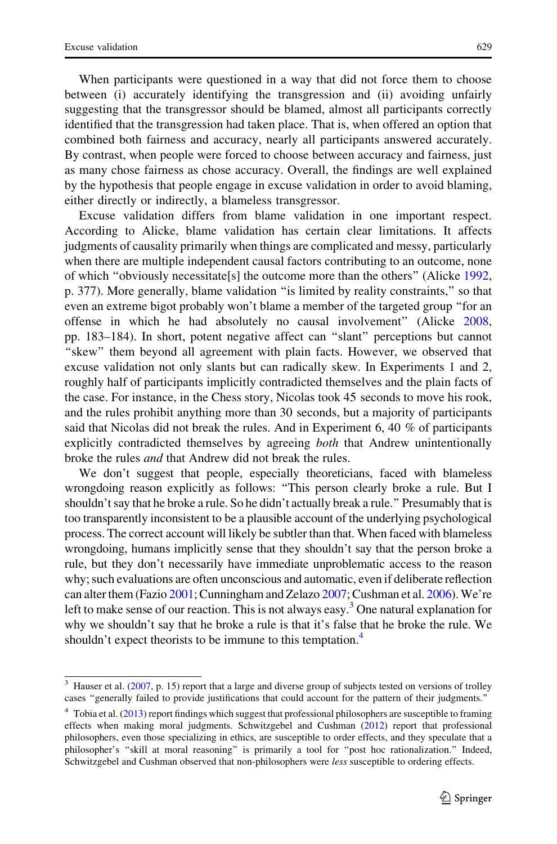When participants were questioned in a way that did not force them to choose between (i) accurately identifying the transgression and (ii) avoiding unfairly suggesting that the transgressor should be blamed, almost all participants correctly identified that the transgression had taken place. That is, when offered an option that combined both fairness and accuracy, nearly all participants answered accurately. By contrast, when people were forced to choose between accuracy and fairness, just as many chose fairness as chose accuracy. Overall, the findings are well explained by the hypothesis that people engage in excuse validation in order to avoid blaming, either directly or indirectly, a blameless transgressor.

Excuse validation differs from blame validation in one important respect. According to Alicke, blame validation has certain clear limitations. It affects judgments of causality primarily when things are complicated and messy, particularly when there are multiple independent causal factors contributing to an outcome, none of which ''obviously necessitate[s] the outcome more than the others'' (Alicke [1992,](#page-18-0) p. 377). More generally, blame validation ''is limited by reality constraints,'' so that even an extreme bigot probably won't blame a member of the targeted group ''for an offense in which he had absolutely no causal involvement'' (Alicke [2008,](#page-18-0) pp. 183–184). In short, potent negative affect can ''slant'' perceptions but cannot "skew" them beyond all agreement with plain facts. However, we observed that excuse validation not only slants but can radically skew. In Experiments 1 and 2, roughly half of participants implicitly contradicted themselves and the plain facts of the case. For instance, in the Chess story, Nicolas took 45 seconds to move his rook, and the rules prohibit anything more than 30 seconds, but a majority of participants said that Nicolas did not break the rules. And in Experiment 6, 40 % of participants explicitly contradicted themselves by agreeing *both* that Andrew unintentionally broke the rules and that Andrew did not break the rules.

We don't suggest that people, especially theoreticians, faced with blameless wrongdoing reason explicitly as follows: ''This person clearly broke a rule. But I shouldn't say that he broke a rule. So he didn't actually break a rule.'' Presumably that is too transparently inconsistent to be a plausible account of the underlying psychological process. The correct account will likely be subtler than that. When faced with blameless wrongdoing, humans implicitly sense that they shouldn't say that the person broke a rule, but they don't necessarily have immediate unproblematic access to the reason why; such evaluations are often unconscious and automatic, even if deliberate reflection can alter them (Fazio [2001](#page-18-0); Cunningham and Zelazo [2007;](#page-18-0) Cushman et al. [2006](#page-18-0)). We're left to make sense of our reaction. This is not always easy.<sup>3</sup> One natural explanation for why we shouldn't say that he broke a rule is that it's false that he broke the rule. We shouldn't expect theorists to be immune to this temptation.<sup>4</sup>

<sup>&</sup>lt;sup>3</sup> Hauser et al. [\(2007](#page-19-0), p. 15) report that a large and diverse group of subjects tested on versions of trolley cases ''generally failed to provide justifications that could account for the pattern of their judgments.''

<sup>&</sup>lt;sup>4</sup> Tobia et al. [\(2013](#page-19-0)) report findings which suggest that professional philosophers are susceptible to framing effects when making moral judgments. Schwitzgebel and Cushman [\(2012](#page-19-0)) report that professional philosophers, even those specializing in ethics, are susceptible to order effects, and they speculate that a philosopher's ''skill at moral reasoning'' is primarily a tool for ''post hoc rationalization.'' Indeed, Schwitzgebel and Cushman observed that non-philosophers were *less* susceptible to ordering effects.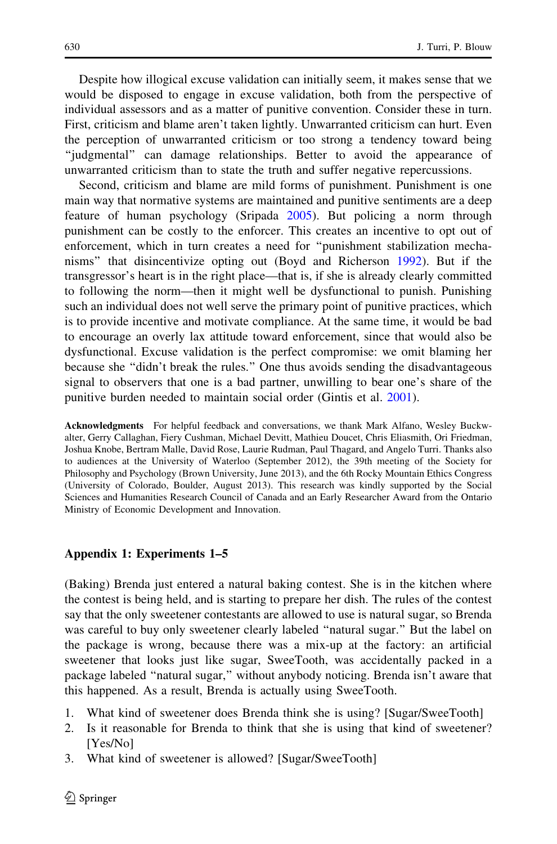<span id="page-15-0"></span>Despite how illogical excuse validation can initially seem, it makes sense that we would be disposed to engage in excuse validation, both from the perspective of individual assessors and as a matter of punitive convention. Consider these in turn. First, criticism and blame aren't taken lightly. Unwarranted criticism can hurt. Even the perception of unwarranted criticism or too strong a tendency toward being ''judgmental'' can damage relationships. Better to avoid the appearance of unwarranted criticism than to state the truth and suffer negative repercussions.

Second, criticism and blame are mild forms of punishment. Punishment is one main way that normative systems are maintained and punitive sentiments are a deep feature of human psychology (Sripada [2005](#page-19-0)). But policing a norm through punishment can be costly to the enforcer. This creates an incentive to opt out of enforcement, which in turn creates a need for ''punishment stabilization mechanisms'' that disincentivize opting out (Boyd and Richerson [1992](#page-18-0)). But if the transgressor's heart is in the right place—that is, if she is already clearly committed to following the norm—then it might well be dysfunctional to punish. Punishing such an individual does not well serve the primary point of punitive practices, which is to provide incentive and motivate compliance. At the same time, it would be bad to encourage an overly lax attitude toward enforcement, since that would also be dysfunctional. Excuse validation is the perfect compromise: we omit blaming her because she ''didn't break the rules.'' One thus avoids sending the disadvantageous signal to observers that one is a bad partner, unwilling to bear one's share of the punitive burden needed to maintain social order (Gintis et al. [2001](#page-18-0)).

Acknowledgments For helpful feedback and conversations, we thank Mark Alfano, Wesley Buckwalter, Gerry Callaghan, Fiery Cushman, Michael Devitt, Mathieu Doucet, Chris Eliasmith, Ori Friedman, Joshua Knobe, Bertram Malle, David Rose, Laurie Rudman, Paul Thagard, and Angelo Turri. Thanks also to audiences at the University of Waterloo (September 2012), the 39th meeting of the Society for Philosophy and Psychology (Brown University, June 2013), and the 6th Rocky Mountain Ethics Congress (University of Colorado, Boulder, August 2013). This research was kindly supported by the Social Sciences and Humanities Research Council of Canada and an Early Researcher Award from the Ontario Ministry of Economic Development and Innovation.

#### Appendix 1: Experiments 1–5

(Baking) Brenda just entered a natural baking contest. She is in the kitchen where the contest is being held, and is starting to prepare her dish. The rules of the contest say that the only sweetener contestants are allowed to use is natural sugar, so Brenda was careful to buy only sweetener clearly labeled ''natural sugar.'' But the label on the package is wrong, because there was a mix-up at the factory: an artificial sweetener that looks just like sugar, SweeTooth, was accidentally packed in a package labeled ''natural sugar,'' without anybody noticing. Brenda isn't aware that this happened. As a result, Brenda is actually using SweeTooth.

- 1. What kind of sweetener does Brenda think she is using? [Sugar/SweeTooth]
- 2. Is it reasonable for Brenda to think that she is using that kind of sweetener? [Yes/No]
- 3. What kind of sweetener is allowed? [Sugar/SweeTooth]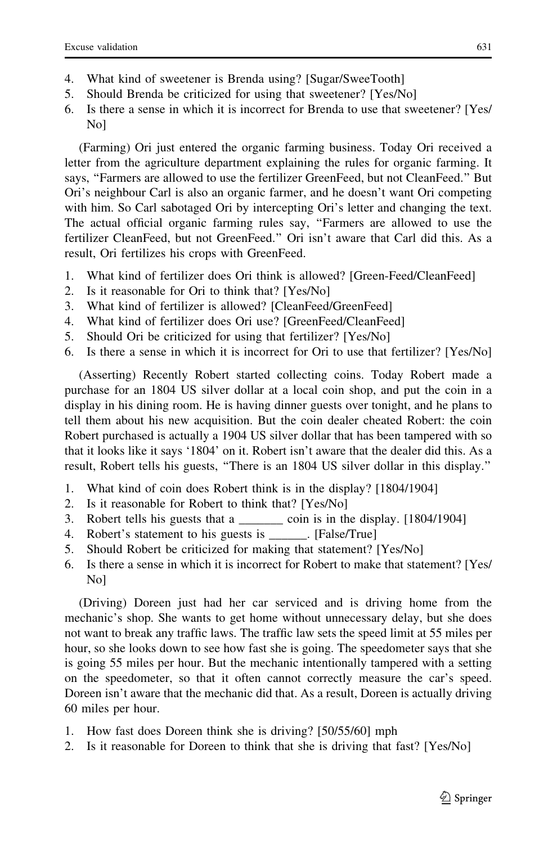- 4. What kind of sweetener is Brenda using? [Sugar/SweeTooth]
- 5. Should Brenda be criticized for using that sweetener? [Yes/No]
- 6. Is there a sense in which it is incorrect for Brenda to use that sweetener? [Yes/ N<sub>o</sub>l

(Farming) Ori just entered the organic farming business. Today Ori received a letter from the agriculture department explaining the rules for organic farming. It says, ''Farmers are allowed to use the fertilizer GreenFeed, but not CleanFeed.'' But Ori's neighbour Carl is also an organic farmer, and he doesn't want Ori competing with him. So Carl sabotaged Ori by intercepting Ori's letter and changing the text. The actual official organic farming rules say, ''Farmers are allowed to use the fertilizer CleanFeed, but not GreenFeed.'' Ori isn't aware that Carl did this. As a result, Ori fertilizes his crops with GreenFeed.

- 1. What kind of fertilizer does Ori think is allowed? [Green-Feed/CleanFeed]
- 2. Is it reasonable for Ori to think that? [Yes/No]
- 3. What kind of fertilizer is allowed? [CleanFeed/GreenFeed]
- 4. What kind of fertilizer does Ori use? [GreenFeed/CleanFeed]
- 5. Should Ori be criticized for using that fertilizer? [Yes/No]
- 6. Is there a sense in which it is incorrect for Ori to use that fertilizer? [Yes/No]

(Asserting) Recently Robert started collecting coins. Today Robert made a purchase for an 1804 US silver dollar at a local coin shop, and put the coin in a display in his dining room. He is having dinner guests over tonight, and he plans to tell them about his new acquisition. But the coin dealer cheated Robert: the coin Robert purchased is actually a 1904 US silver dollar that has been tampered with so that it looks like it says '1804' on it. Robert isn't aware that the dealer did this. As a result, Robert tells his guests, ''There is an 1804 US silver dollar in this display.''

- 1. What kind of coin does Robert think is in the display? [1804/1904]
- 2. Is it reasonable for Robert to think that? [Yes/No]
- 3. Robert tells his guests that a \_\_\_\_\_\_\_ coin is in the display. [1804/1904]
- 4. Robert's statement to his guests is \_\_\_\_\_\_. [False/True]
- 5. Should Robert be criticized for making that statement? [Yes/No]
- 6. Is there a sense in which it is incorrect for Robert to make that statement? [Yes/ No]

(Driving) Doreen just had her car serviced and is driving home from the mechanic's shop. She wants to get home without unnecessary delay, but she does not want to break any traffic laws. The traffic law sets the speed limit at 55 miles per hour, so she looks down to see how fast she is going. The speedometer says that she is going 55 miles per hour. But the mechanic intentionally tampered with a setting on the speedometer, so that it often cannot correctly measure the car's speed. Doreen isn't aware that the mechanic did that. As a result, Doreen is actually driving 60 miles per hour.

- 1. How fast does Doreen think she is driving? [50/55/60] mph
- 2. Is it reasonable for Doreen to think that she is driving that fast? [Yes/No]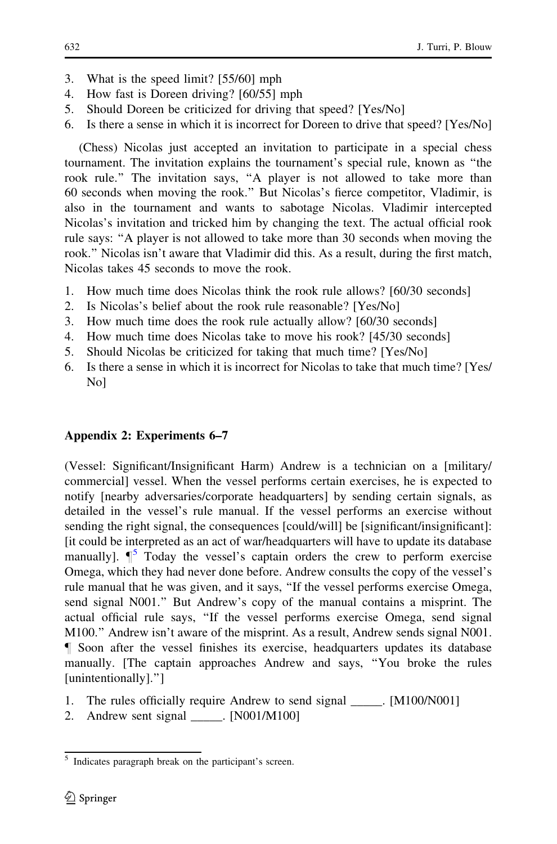- <span id="page-17-0"></span>3. What is the speed limit? [55/60] mph
- 4. How fast is Doreen driving? [60/55] mph
- 5. Should Doreen be criticized for driving that speed? [Yes/No]
- 6. Is there a sense in which it is incorrect for Doreen to drive that speed? [Yes/No]

(Chess) Nicolas just accepted an invitation to participate in a special chess tournament. The invitation explains the tournament's special rule, known as ''the rook rule.'' The invitation says, ''A player is not allowed to take more than 60 seconds when moving the rook.'' But Nicolas's fierce competitor, Vladimir, is also in the tournament and wants to sabotage Nicolas. Vladimir intercepted Nicolas's invitation and tricked him by changing the text. The actual official rook rule says: ''A player is not allowed to take more than 30 seconds when moving the rook.'' Nicolas isn't aware that Vladimir did this. As a result, during the first match, Nicolas takes 45 seconds to move the rook.

- 1. How much time does Nicolas think the rook rule allows? [60/30 seconds]
- 2. Is Nicolas's belief about the rook rule reasonable? [Yes/No]
- 3. How much time does the rook rule actually allow? [60/30 seconds]
- 4. How much time does Nicolas take to move his rook? [45/30 seconds]
- 5. Should Nicolas be criticized for taking that much time? [Yes/No]
- 6. Is there a sense in which it is incorrect for Nicolas to take that much time? [Yes/ No]

# Appendix 2: Experiments 6–7

(Vessel: Significant/Insignificant Harm) Andrew is a technician on a [military/ commercial] vessel. When the vessel performs certain exercises, he is expected to notify [nearby adversaries/corporate headquarters] by sending certain signals, as detailed in the vessel's rule manual. If the vessel performs an exercise without sending the right signal, the consequences [could/will] be [significant/insignificant]: [it could be interpreted as an act of war/headquarters will have to update its database manually].  $\P^5$  Today the vessel's captain orders the crew to perform exercise Omega, which they had never done before. Andrew consults the copy of the vessel's rule manual that he was given, and it says, ''If the vessel performs exercise Omega, send signal N001.'' But Andrew's copy of the manual contains a misprint. The actual official rule says, ''If the vessel performs exercise Omega, send signal M100.'' Andrew isn't aware of the misprint. As a result, Andrew sends signal N001. } Soon after the vessel finishes its exercise, headquarters updates its database manually. [The captain approaches Andrew and says, ''You broke the rules [unintentionally]."]

- 1. The rules officially require Andrew to send signal \_\_\_\_\_. [M100/N001]
- 2. Andrew sent signal \_\_\_\_\_. [N001/M100]

<sup>5</sup> Indicates paragraph break on the participant's screen.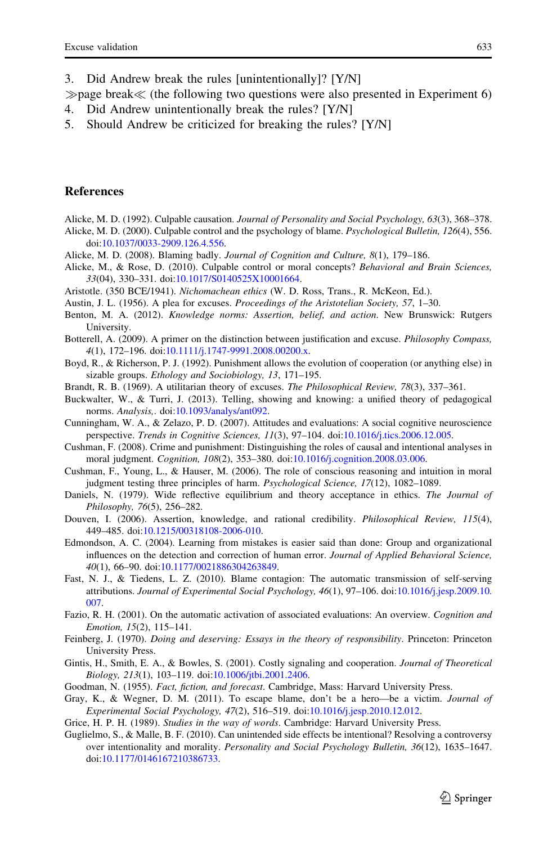- <span id="page-18-0"></span>3. Did Andrew break the rules [unintentionally]? [Y/N]
- $\gg$  page break  $\ll$  (the following two questions were also presented in Experiment 6)
- 4. Did Andrew unintentionally break the rules? [Y/N]
- 5. Should Andrew be criticized for breaking the rules? [Y/N]

#### References

- Alicke, M. D. (1992). Culpable causation. Journal of Personality and Social Psychology, 63(3), 368–378.
- Alicke, M. D. (2000). Culpable control and the psychology of blame. Psychological Bulletin, 126(4), 556. doi[:10.1037/0033-2909.126.4.556.](http://dx.doi.org/10.1037/0033-2909.126.4.556)
- Alicke, M. D. (2008). Blaming badly. Journal of Cognition and Culture, 8(1), 179–186.
- Alicke, M., & Rose, D. (2010). Culpable control or moral concepts? Behavioral and Brain Sciences, 33(04), 330–331. doi:[10.1017/S0140525X10001664.](http://dx.doi.org/10.1017/S0140525X10001664)
- Aristotle. (350 BCE/1941). Nichomachean ethics (W. D. Ross, Trans., R. McKeon, Ed.).
- Austin, J. L. (1956). A plea for excuses. Proceedings of the Aristotelian Society, 57, 1–30.
- Benton, M. A. (2012). Knowledge norms: Assertion, belief, and action. New Brunswick: Rutgers University.
- Botterell, A. (2009). A primer on the distinction between justification and excuse. Philosophy Compass, 4(1), 172–196. doi:[10.1111/j.1747-9991.2008.00200.x](http://dx.doi.org/10.1111/j.1747-9991.2008.00200.x).
- Boyd, R., & Richerson, P. J. (1992). Punishment allows the evolution of cooperation (or anything else) in sizable groups. Ethology and Sociobiology, 13, 171–195.
- Brandt, R. B. (1969). A utilitarian theory of excuses. The Philosophical Review, 78(3), 337–361.
- Buckwalter, W., & Turri, J. (2013). Telling, showing and knowing: a unified theory of pedagogical norms. Analysis,. doi:[10.1093/analys/ant092.](http://dx.doi.org/10.1093/analys/ant092)
- Cunningham, W. A., & Zelazo, P. D. (2007). Attitudes and evaluations: A social cognitive neuroscience perspective. Trends in Cognitive Sciences, 11(3), 97–104. doi[:10.1016/j.tics.2006.12.005](http://dx.doi.org/10.1016/j.tics.2006.12.005).
- Cushman, F. (2008). Crime and punishment: Distinguishing the roles of causal and intentional analyses in moral judgment. Cognition, 108(2), 353–380. doi[:10.1016/j.cognition.2008.03.006](http://dx.doi.org/10.1016/j.cognition.2008.03.006).
- Cushman, F., Young, L., & Hauser, M. (2006). The role of conscious reasoning and intuition in moral judgment testing three principles of harm. Psychological Science, 17(12), 1082–1089.
- Daniels, N. (1979). Wide reflective equilibrium and theory acceptance in ethics. The Journal of Philosophy, 76(5), 256–282.
- Douven, I. (2006). Assertion, knowledge, and rational credibility. *Philosophical Review*, 115(4), 449–485. doi:[10.1215/00318108-2006-010.](http://dx.doi.org/10.1215/00318108-2006-010)
- Edmondson, A. C. (2004). Learning from mistakes is easier said than done: Group and organizational influences on the detection and correction of human error. Journal of Applied Behavioral Science, 40(1), 66–90. doi:[10.1177/0021886304263849](http://dx.doi.org/10.1177/0021886304263849).
- Fast, N. J., & Tiedens, L. Z. (2010). Blame contagion: The automatic transmission of self-serving attributions. Journal of Experimental Social Psychology, 46(1), 97–106. doi[:10.1016/j.jesp.2009.10.](http://dx.doi.org/10.1016/j.jesp.2009.10.007) [007.](http://dx.doi.org/10.1016/j.jesp.2009.10.007)
- Fazio, R. H. (2001). On the automatic activation of associated evaluations: An overview. Cognition and Emotion, 15(2), 115–141.
- Feinberg, J. (1970). Doing and deserving: Essays in the theory of responsibility. Princeton: Princeton University Press.
- Gintis, H., Smith, E. A., & Bowles, S. (2001). Costly signaling and cooperation. Journal of Theoretical Biology, 213(1), 103–119. doi[:10.1006/jtbi.2001.2406.](http://dx.doi.org/10.1006/jtbi.2001.2406)
- Goodman, N. (1955). Fact, fiction, and forecast. Cambridge, Mass: Harvard University Press.
- Gray, K., & Wegner, D. M. (2011). To escape blame, don't be a hero—be a victim. Journal of Experimental Social Psychology, 47(2), 516–519. doi[:10.1016/j.jesp.2010.12.012](http://dx.doi.org/10.1016/j.jesp.2010.12.012).
- Grice, H. P. H. (1989). Studies in the way of words. Cambridge: Harvard University Press.
- Guglielmo, S., & Malle, B. F. (2010). Can unintended side effects be intentional? Resolving a controversy over intentionality and morality. Personality and Social Psychology Bulletin, 36(12), 1635–1647. doi[:10.1177/0146167210386733](http://dx.doi.org/10.1177/0146167210386733).